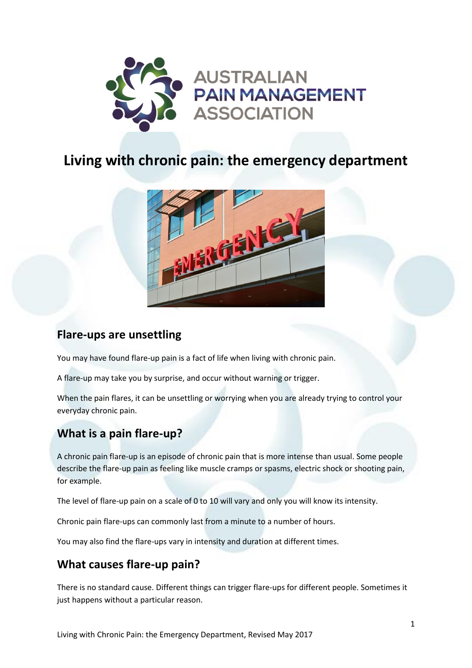

# **Living with chronic pain: the emergency department**



### **Flare-ups are unsettling**

You may have found flare-up pain is a fact of life when living with chronic pain.

A flare-up may take you by surprise, and occur without warning or trigger.

When the pain flares, it can be unsettling or worrying when you are already trying to control your everyday chronic pain.

### **What is a pain flare-up?**

A chronic pain flare-up is an episode of chronic pain that is more intense than usual. Some people describe the flare-up pain as feeling like muscle cramps or spasms, electric shock or shooting pain, for example.

The level of flare-up pain on a scale of 0 to 10 will vary and only you will know its intensity.

Chronic pain flare-ups can commonly last from a minute to a number of hours.

You may also find the flare-ups vary in intensity and duration at different times.

#### **What causes flare-up pain?**

There is no standard cause. Different things can trigger flare-ups for different people. Sometimes it just happens without a particular reason.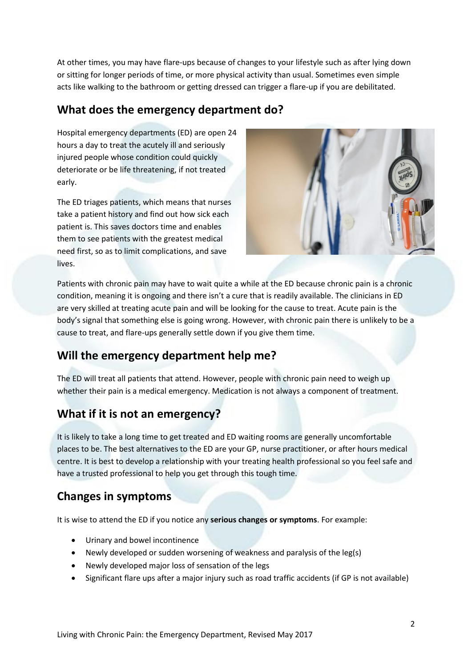At other times, you may have flare-ups because of changes to your lifestyle such as after lying down or sitting for longer periods of time, or more physical activity than usual. Sometimes even simple acts like walking to the bathroom or getting dressed can trigger a flare-up if you are debilitated.

### **What does the emergency department do?**

Hospital emergency departments (ED) are open 24 hours a day to treat the acutely ill and seriously injured people whose condition could quickly deteriorate or be life threatening, if not treated early.

The ED triages patients, which means that nurses take a patient history and find out how sick each patient is. This saves doctors time and enables them to see patients with the greatest medical need first, so as to limit complications, and save lives.



Patients with chronic pain may have to wait quite a while at the ED because chronic pain is a chronic condition, meaning it is ongoing and there isn't a cure that is readily available. The clinicians in ED are very skilled at treating acute pain and will be looking for the cause to treat. Acute pain is the body's signal that something else is going wrong. However, with chronic pain there is unlikely to be a cause to treat, and flare-ups generally settle down if you give them time.

# **Will the emergency department help me?**

The ED will treat all patients that attend. However, people with chronic pain need to weigh up whether their pain is a medical emergency. Medication is not always a component of treatment.

# **What if it is not an emergency?**

It is likely to take a long time to get treated and ED waiting rooms are generally uncomfortable places to be. The best alternatives to the ED are your GP, nurse practitioner, or after hours medical centre. It is best to develop a relationship with your treating health professional so you feel safe and have a trusted professional to help you get through this tough time.

# **Changes in symptoms**

It is wise to attend the ED if you notice any **serious changes or symptoms**. For example:

- Urinary and bowel incontinence
- Newly developed or sudden worsening of weakness and paralysis of the leg(s)
- Newly developed major loss of sensation of the legs
- Significant flare ups after a major injury such as road traffic accidents (if GP is not available)